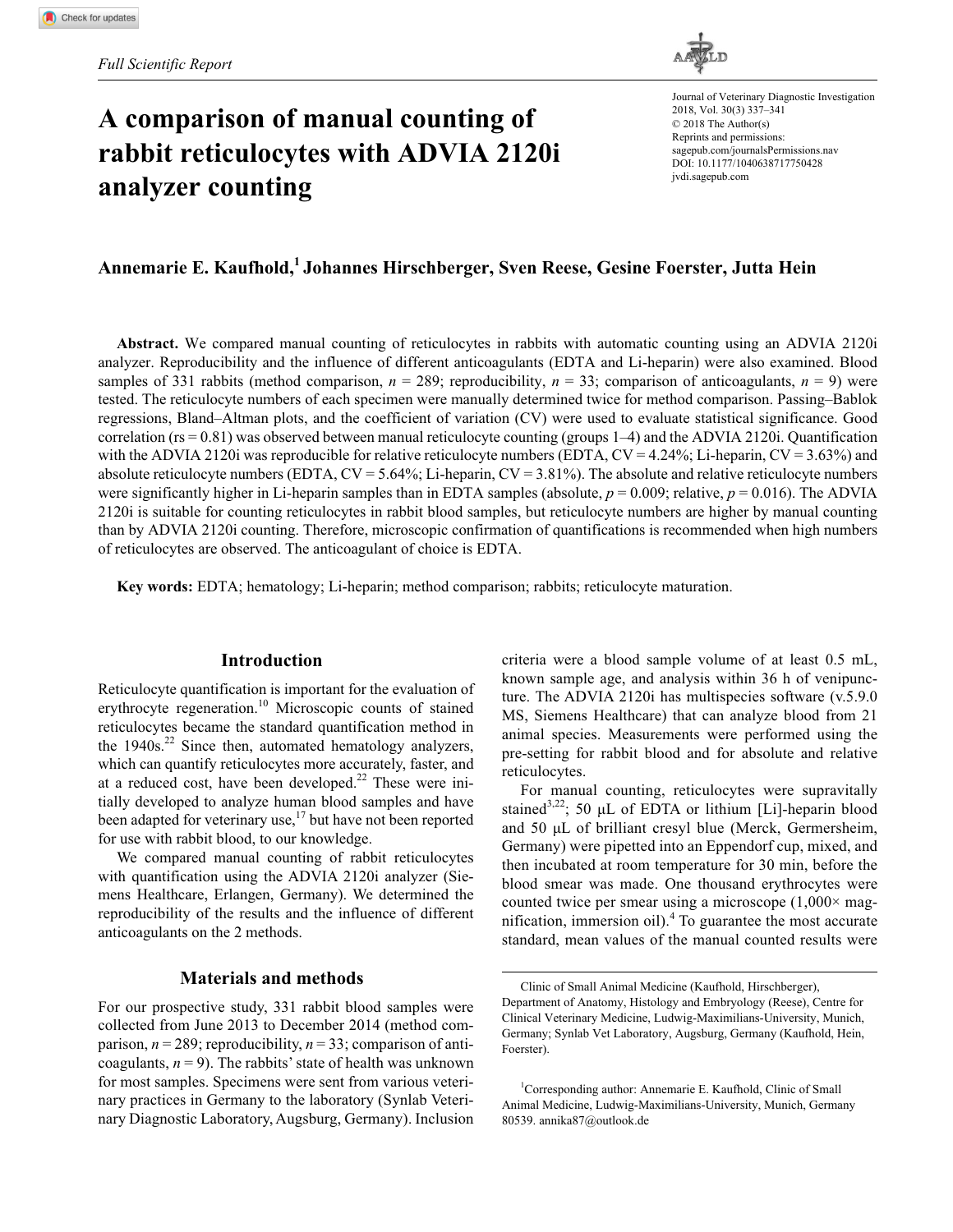# **A comparison of manual counting of rabbit reticulocytes with ADVIA 2120i analyzer counting**



https://doi.org/10.1177/1040638717750428 DOI: 10.1177/1040638717750428 Journal of Veterinary Diagnostic Investigation 2018, Vol. 30(3) 337–341 © 2018 The Author(s) Reprints and permissions: [sagepub.com/journalsPermissions.nav](https://us.sagepub.com/en-us/journals-permissions) [jvdi.sagepub.com](https://jvdi.sagepub.com)

# **Annemarie E. Kaufhold,1 Johannes Hirschberger, Sven Reese, Gesine Foerster, Jutta Hein**

**Abstract.** We compared manual counting of reticulocytes in rabbits with automatic counting using an ADVIA 2120i analyzer. Reproducibility and the influence of different anticoagulants (EDTA and Li-heparin) were also examined. Blood samples of 331 rabbits (method comparison,  $n = 289$ ; reproducibility,  $n = 33$ ; comparison of anticoagulants,  $n = 9$ ) were tested. The reticulocyte numbers of each specimen were manually determined twice for method comparison. Passing–Bablok regressions, Bland–Altman plots, and the coefficient of variation (CV) were used to evaluate statistical significance. Good correlation (rs = 0.81) was observed between manual reticulocyte counting (groups 1–4) and the ADVIA 2120i. Quantification with the ADVIA 2120i was reproducible for relative reticulocyte numbers (EDTA,  $CV = 4.24\%$ ; Li-heparin,  $CV = 3.63\%$ ) and absolute reticulocyte numbers (EDTA,  $CV = 5.64\%$ ; Li-heparin,  $CV = 3.81\%$ ). The absolute and relative reticulocyte numbers were significantly higher in Li-heparin samples than in EDTA samples (absolute,  $p = 0.009$ ; relative,  $p = 0.016$ ). The ADVIA 2120i is suitable for counting reticulocytes in rabbit blood samples, but reticulocyte numbers are higher by manual counting than by ADVIA 2120i counting. Therefore, microscopic confirmation of quantifications is recommended when high numbers of reticulocytes are observed. The anticoagulant of choice is EDTA.

**Key words:** EDTA; hematology; Li-heparin; method comparison; rabbits; reticulocyte maturation.

## **Introduction**

Reticulocyte quantification is important for the evaluation of erythrocyte regeneration.<sup>10</sup> Microscopic counts of stained reticulocytes became the standard quantification method in the  $1940s$ <sup>22</sup> Since then, automated hematology analyzers, which can quantify reticulocytes more accurately, faster, and at a reduced cost, have been developed. $22$  These were initially developed to analyze human blood samples and have been adapted for veterinary use,<sup>17</sup> but have not been reported for use with rabbit blood, to our knowledge.

We compared manual counting of rabbit reticulocytes with quantification using the ADVIA 2120i analyzer (Siemens Healthcare, Erlangen, Germany). We determined the reproducibility of the results and the influence of different anticoagulants on the 2 methods.

# **Materials and methods**

For our prospective study, 331 rabbit blood samples were collected from June 2013 to December 2014 (method comparison,  $n = 289$ ; reproducibility,  $n = 33$ ; comparison of anticoagulants,  $n = 9$ ). The rabbits' state of health was unknown for most samples. Specimens were sent from various veterinary practices in Germany to the laboratory (Synlab Veterinary Diagnostic Laboratory, Augsburg, Germany). Inclusion criteria were a blood sample volume of at least 0.5 mL, known sample age, and analysis within 36 h of venipuncture. The ADVIA 2120i has multispecies software (v.5.9.0 MS, Siemens Healthcare) that can analyze blood from 21 animal species. Measurements were performed using the pre-setting for rabbit blood and for absolute and relative reticulocytes.

For manual counting, reticulocytes were supravitally stained<sup>3,22</sup>; 50 µL of EDTA or lithium [Li]-heparin blood and 50 µL of brilliant cresyl blue (Merck, Germersheim, Germany) were pipetted into an Eppendorf cup, mixed, and then incubated at room temperature for 30 min, before the blood smear was made. One thousand erythrocytes were counted twice per smear using a microscope  $(1,000 \times mag$ nification, immersion oil).<sup>4</sup> To guarantee the most accurate standard, mean values of the manual counted results were

Clinic of Small Animal Medicine (Kaufhold, Hirschberger), Department of Anatomy, Histology and Embryology (Reese), Centre for Clinical Veterinary Medicine, Ludwig-Maximilians-University, Munich, Germany; Synlab Vet Laboratory, Augsburg, Germany (Kaufhold, Hein, Foerster).

<sup>&</sup>lt;sup>1</sup>Corresponding author: Annemarie E. Kaufhold, Clinic of Small Animal Medicine, Ludwig-Maximilians-University, Munich, Germany 80539. [annika87@outlook.de](mailto:annika87@outlook.de)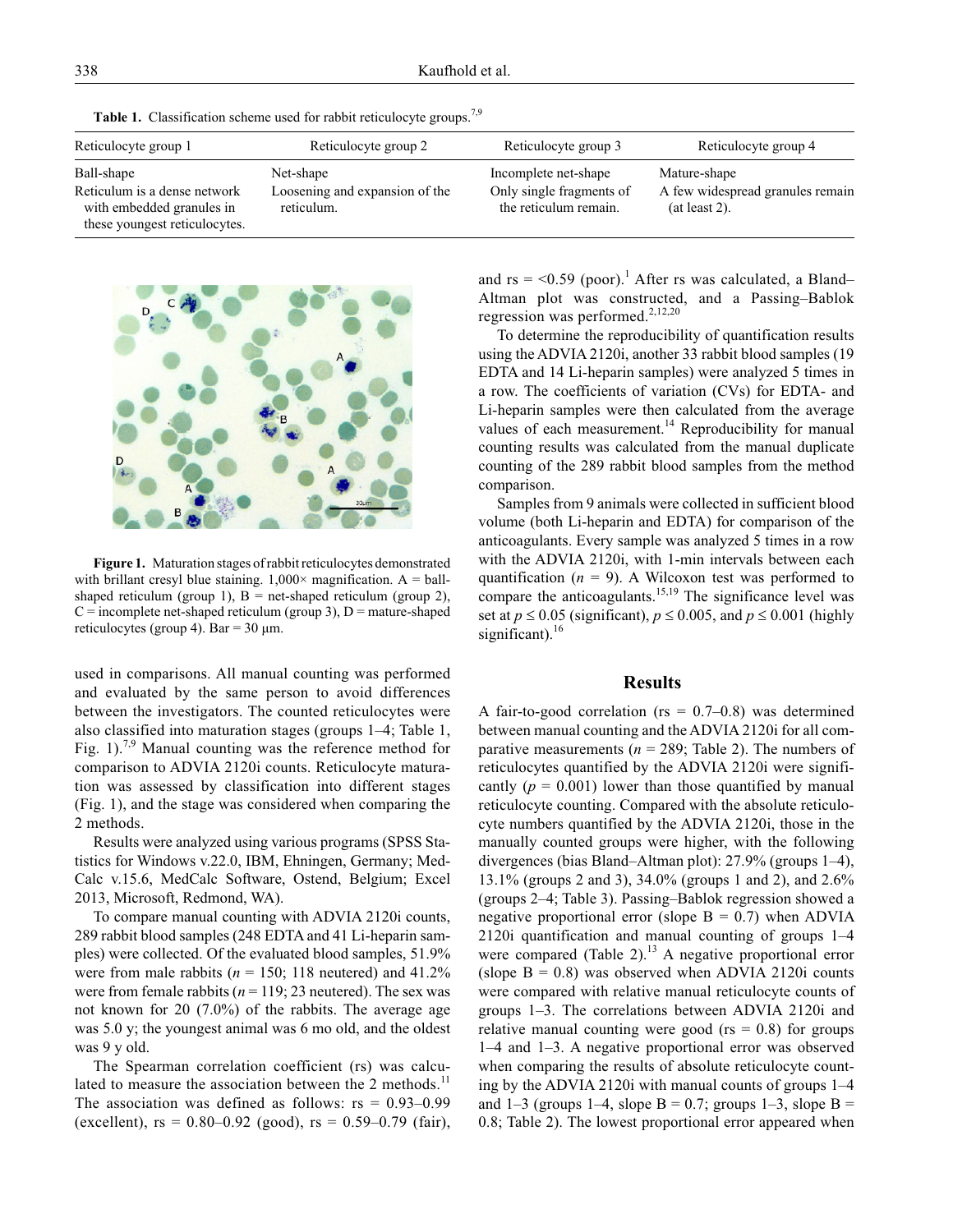**Table 1.** Classification scheme used for rabbit reticulocyte groups.<sup>7,9</sup>

| Reticulocyte group 1                                                                       | Reticulocyte group 2                         | Reticulocyte group 3                              | Reticulocyte group 4                              |
|--------------------------------------------------------------------------------------------|----------------------------------------------|---------------------------------------------------|---------------------------------------------------|
| Ball-shape                                                                                 | Net-shape                                    | Incomplete net-shape                              | Mature-shape                                      |
| Reticulum is a dense network<br>with embedded granules in<br>these youngest reticulocytes. | Loosening and expansion of the<br>reticulum. | Only single fragments of<br>the reticulum remain. | A few widespread granules remain<br>(at least 2). |



**Figure 1.** Maturation stages of rabbit reticulocytes demonstrated with brillant cresyl blue staining.  $1,000 \times$  magnification. A = ballshaped reticulum (group 1),  $B = net$ -shaped reticulum (group 2),  $C =$  incomplete net-shaped reticulum (group 3),  $D =$  mature-shaped reticulocytes (group 4). Bar =  $30 \mu m$ .

used in comparisons. All manual counting was performed and evaluated by the same person to avoid differences between the investigators. The counted reticulocytes were also classified into maturation stages (groups 1–4; Table 1, Fig. 1).<sup>7,9</sup> Manual counting was the reference method for comparison to ADVIA 2120i counts. Reticulocyte maturation was assessed by classification into different stages (Fig. 1), and the stage was considered when comparing the 2 methods.

Results were analyzed using various programs (SPSS Statistics for Windows v.22.0, IBM, Ehningen, Germany; Med-Calc v.15.6, MedCalc Software, Ostend, Belgium; Excel 2013, Microsoft, Redmond, WA).

To compare manual counting with ADVIA 2120i counts, 289 rabbit blood samples (248 EDTA and 41 Li-heparin samples) were collected. Of the evaluated blood samples, 51.9% were from male rabbits ( $n = 150$ ; 118 neutered) and 41.2% were from female rabbits ( $n = 119$ ; 23 neutered). The sex was not known for 20 (7.0%) of the rabbits. The average age was 5.0 y; the youngest animal was 6 mo old, and the oldest was 9 y old.

The Spearman correlation coefficient (rs) was calculated to measure the association between the 2 methods.<sup>11</sup> The association was defined as follows:  $rs = 0.93-0.99$ (excellent),  $rs = 0.80{\text -}0.92$  (good),  $rs = 0.59{\text -}0.79$  (fair),

and  $rs = <0.59$  (poor).<sup>1</sup> After rs was calculated, a Bland– Altman plot was constructed, and a Passing–Bablok regression was performed.<sup>2,12,20</sup>

To determine the reproducibility of quantification results using the ADVIA 2120i, another 33 rabbit blood samples (19 EDTA and 14 Li-heparin samples) were analyzed 5 times in a row. The coefficients of variation (CVs) for EDTA- and Li-heparin samples were then calculated from the average values of each measurement.<sup>14</sup> Reproducibility for manual counting results was calculated from the manual duplicate counting of the 289 rabbit blood samples from the method comparison.

Samples from 9 animals were collected in sufficient blood volume (both Li-heparin and EDTA) for comparison of the anticoagulants. Every sample was analyzed 5 times in a row with the ADVIA 2120i, with 1-min intervals between each quantification  $(n = 9)$ . A Wilcoxon test was performed to compare the anticoagulants.<sup>15,19</sup> The significance level was set at  $p \le 0.05$  (significant),  $p \le 0.005$ , and  $p \le 0.001$  (highly significant). $16$ 

### **Results**

A fair-to-good correlation ( $rs = 0.7{\text -}0.8$ ) was determined between manual counting and the ADVIA 2120i for all comparative measurements ( $n = 289$ ; Table 2). The numbers of reticulocytes quantified by the ADVIA 2120i were significantly  $(p = 0.001)$  lower than those quantified by manual reticulocyte counting. Compared with the absolute reticulocyte numbers quantified by the ADVIA 2120i, those in the manually counted groups were higher, with the following divergences (bias Bland–Altman plot): 27.9% (groups 1–4), 13.1% (groups 2 and 3), 34.0% (groups 1 and 2), and 2.6% (groups 2–4; Table 3). Passing–Bablok regression showed a negative proportional error (slope  $B = 0.7$ ) when ADVIA 2120i quantification and manual counting of groups 1–4 were compared (Table 2).<sup>13</sup> A negative proportional error (slope  $B = 0.8$ ) was observed when ADVIA 2120i counts were compared with relative manual reticulocyte counts of groups 1–3. The correlations between ADVIA 2120i and relative manual counting were good ( $rs = 0.8$ ) for groups 1–4 and 1–3. A negative proportional error was observed when comparing the results of absolute reticulocyte counting by the ADVIA 2120i with manual counts of groups 1–4 and 1–3 (groups 1–4, slope B = 0.7; groups 1–3, slope B = 0.8; Table 2). The lowest proportional error appeared when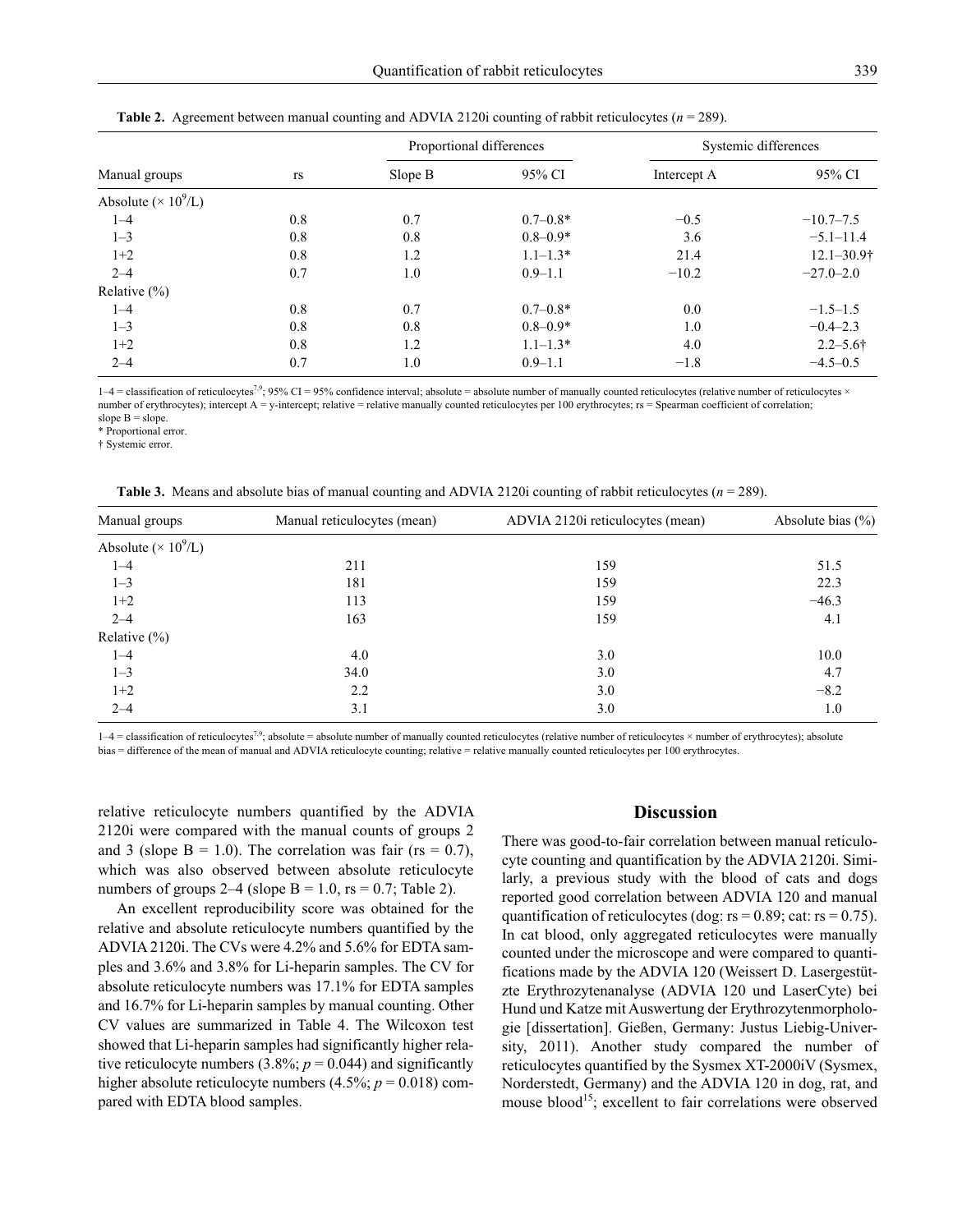| Manual groups                |     | Proportional differences |              | Systemic differences |                 |
|------------------------------|-----|--------------------------|--------------|----------------------|-----------------|
|                              | rs  | Slope B                  | 95% CI       | Intercept A          | 95% CI          |
| Absolute ( $\times 10^9$ /L) |     |                          |              |                      |                 |
| $1 - 4$                      | 0.8 | 0.7                      | $0.7 - 0.8*$ | $-0.5$               | $-10.7-7.5$     |
| $1 - 3$                      | 0.8 | 0.8                      | $0.8 - 0.9*$ | 3.6                  | $-5.1 - 11.4$   |
| $1+2$                        | 0.8 | 1.2                      | $1.1 - 1.3*$ | 21.4                 | $12.1 - 30.9$ † |
| $2 - 4$                      | 0.7 | 1.0                      | $0.9 - 1.1$  | $-10.2$              | $-27.0 - 2.0$   |
| Relative $(\% )$             |     |                          |              |                      |                 |
| $1 - 4$                      | 0.8 | 0.7                      | $0.7 - 0.8*$ | 0.0                  | $-1.5-1.5$      |
| $1 - 3$                      | 0.8 | 0.8                      | $0.8 - 0.9*$ | 1.0                  | $-0.4 - 2.3$    |
| $1+2$                        | 0.8 | 1.2                      | $1.1 - 1.3*$ | 4.0                  | $2.2 - 5.6$ †   |
| $2 - 4$                      | 0.7 | 1.0                      | $0.9 - 1.1$  | $-1.8$               | $-4.5-0.5$      |

|  | <b>Table 2.</b> Agreement between manual counting and ADVIA 2120i counting of rabbit reticulocytes ( $n = 289$ ). |  |
|--|-------------------------------------------------------------------------------------------------------------------|--|
|  |                                                                                                                   |  |

 $1-4$  = classification of reticulocytes<sup>7,9</sup>; 95% CI = 95% confidence interval; absolute = absolute number of manually counted reticulocytes (relative number of reticulocytes  $\times$ number of erythrocytes); intercept A = y-intercept; relative = relative manually counted reticulocytes per 100 erythrocytes; rs = Spearman coefficient of correlation; slope  $B = slope$ .

\* Proportional error.

† Systemic error.

**Table 3.** Means and absolute bias of manual counting and ADVIA 2120i counting of rabbit reticulocytes (*n* = 289).

| Manual groups                | Manual reticulocytes (mean) | ADVIA 2120i reticulocytes (mean) | Absolute bias $(\% )$ |  |
|------------------------------|-----------------------------|----------------------------------|-----------------------|--|
| Absolute ( $\times 10^9$ /L) |                             |                                  |                       |  |
| $1 - 4$                      | 211                         | 159                              | 51.5                  |  |
| $1 - 3$                      | 181                         | 159                              | 22.3                  |  |
| $1+2$                        | 113                         | 159                              | $-46.3$               |  |
| $2 - 4$                      | 163                         | 159                              | 4.1                   |  |
| Relative $(\% )$             |                             |                                  |                       |  |
| $1 - 4$                      | 4.0                         | 3.0                              | 10.0                  |  |
| $1 - 3$                      | 34.0                        | 3.0                              | 4.7                   |  |
| $1+2$                        | 2.2                         | 3.0                              | $-8.2$                |  |
| $2 - 4$                      | 3.1                         | 3.0                              | 1.0                   |  |

 $1-4$  = classification of reticulocytes<sup>7,9</sup>; absolute = absolute number of manually counted reticulocytes (relative number of reticulocytes × number of erythrocytes); absolute bias = difference of the mean of manual and ADVIA reticulocyte counting; relative = relative manually counted reticulocytes per 100 erythrocytes.

relative reticulocyte numbers quantified by the ADVIA 2120i were compared with the manual counts of groups 2 and 3 (slope  $B = 1.0$ ). The correlation was fair (rs = 0.7), which was also observed between absolute reticulocyte numbers of groups  $2-4$  (slope B = 1.0, rs = 0.7; Table 2).

An excellent reproducibility score was obtained for the relative and absolute reticulocyte numbers quantified by the ADVIA 2120i. The CVs were 4.2% and 5.6% for EDTA samples and 3.6% and 3.8% for Li-heparin samples. The CV for absolute reticulocyte numbers was 17.1% for EDTA samples and 16.7% for Li-heparin samples by manual counting. Other CV values are summarized in Table 4. The Wilcoxon test showed that Li-heparin samples had significantly higher relative reticulocyte numbers  $(3.8\%; p = 0.044)$  and significantly higher absolute reticulocyte numbers  $(4.5\%; p = 0.018)$  compared with EDTA blood samples.

### **Discussion**

There was good-to-fair correlation between manual reticulocyte counting and quantification by the ADVIA 2120i. Similarly, a previous study with the blood of cats and dogs reported good correlation between ADVIA 120 and manual quantification of reticulocytes (dog:  $rs = 0.89$ ; cat:  $rs = 0.75$ ). In cat blood, only aggregated reticulocytes were manually counted under the microscope and were compared to quantifications made by the ADVIA 120 (Weissert D. Lasergestützte Erythrozytenanalyse (ADVIA 120 und LaserCyte) bei Hund und Katze mit Auswertung der Erythrozytenmorphologie [dissertation]. Gießen, Germany: Justus Liebig-University, 2011). Another study compared the number of reticulocytes quantified by the Sysmex XT-2000iV (Sysmex, Norderstedt, Germany) and the ADVIA 120 in dog, rat, and mouse blood<sup>15</sup>; excellent to fair correlations were observed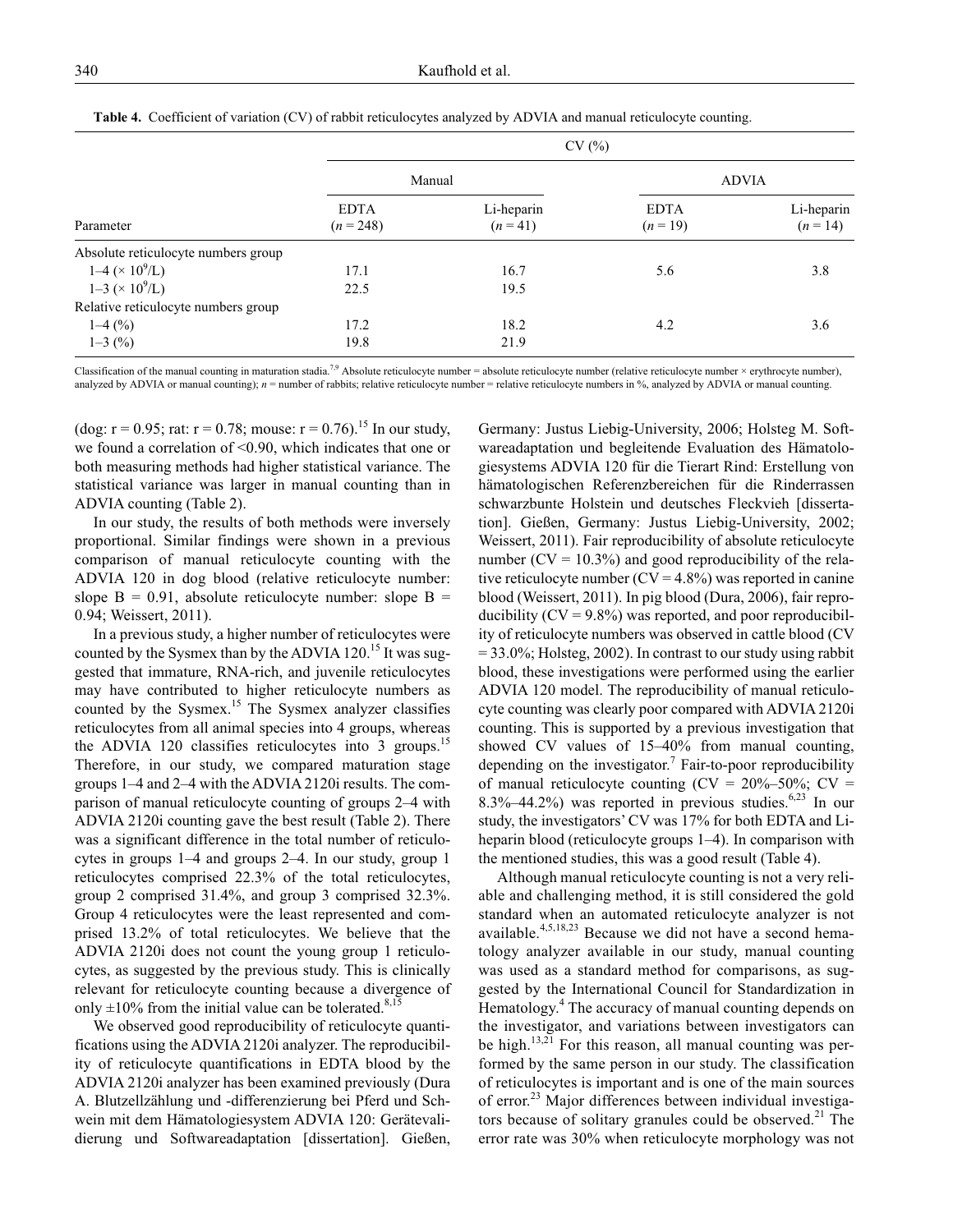|                                     |                            | CV(%)                  |                         |                          |  |
|-------------------------------------|----------------------------|------------------------|-------------------------|--------------------------|--|
|                                     |                            | Manual                 |                         | <b>ADVIA</b>             |  |
| Parameter                           | <b>EDTA</b><br>$(n = 248)$ | Li-heparin<br>$(n=41)$ | <b>EDTA</b><br>$(n=19)$ | Li-heparin<br>$(n = 14)$ |  |
| Absolute reticulocyte numbers group |                            |                        |                         |                          |  |
| $1-4 \times 10^9$ /L)               | 17.1                       | 16.7                   | 5.6                     | 3.8                      |  |
| $1-3 \times 10^9$ /L)               | 22.5                       | 19.5                   |                         |                          |  |
| Relative reticulocyte numbers group |                            |                        |                         |                          |  |
| $1-4(%)$                            | 17.2                       | 18.2                   | 4.2                     | 3.6                      |  |
| $1-3(%)$                            | 19.8                       | 21.9                   |                         |                          |  |

**Table 4.** Coefficient of variation (CV) of rabbit reticulocytes analyzed by ADVIA and manual reticulocyte counting.

Classification of the manual counting in maturation stadia.<sup>7,9</sup> Absolute reticulocyte number = absolute reticulocyte number (relative reticulocyte number × erythrocyte number), analyzed by ADVIA or manual counting);  $n =$  number of rabbits; relative reticulocyte number = relative reticulocyte numbers in %, analyzed by ADVIA or manual counting.

(dog:  $r = 0.95$ ; rat:  $r = 0.78$ ; mouse:  $r = 0.76$ ).<sup>15</sup> In our study, we found a correlation of <0.90, which indicates that one or both measuring methods had higher statistical variance. The statistical variance was larger in manual counting than in ADVIA counting (Table 2).

In our study, the results of both methods were inversely proportional. Similar findings were shown in a previous comparison of manual reticulocyte counting with the ADVIA 120 in dog blood (relative reticulocyte number: slope  $B = 0.91$ , absolute reticulocyte number: slope  $B =$ 0.94; Weissert, 2011).

In a previous study, a higher number of reticulocytes were counted by the Sysmex than by the ADVIA 120.<sup>15</sup> It was suggested that immature, RNA-rich, and juvenile reticulocytes may have contributed to higher reticulocyte numbers as counted by the Sysmex.<sup>15</sup> The Sysmex analyzer classifies reticulocytes from all animal species into 4 groups, whereas the ADVIA 120 classifies reticulocytes into 3 groups.<sup>15</sup> Therefore, in our study, we compared maturation stage groups 1–4 and 2–4 with the ADVIA 2120i results. The comparison of manual reticulocyte counting of groups 2–4 with ADVIA 2120i counting gave the best result (Table 2). There was a significant difference in the total number of reticulocytes in groups 1–4 and groups 2–4. In our study, group 1 reticulocytes comprised 22.3% of the total reticulocytes, group 2 comprised 31.4%, and group 3 comprised 32.3%. Group 4 reticulocytes were the least represented and comprised 13.2% of total reticulocytes. We believe that the ADVIA 2120i does not count the young group 1 reticulocytes, as suggested by the previous study. This is clinically relevant for reticulocyte counting because a divergence of only  $\pm 10\%$  from the initial value can be tolerated.<sup>8,15</sup>

We observed good reproducibility of reticulocyte quantifications using the ADVIA 2120i analyzer. The reproducibility of reticulocyte quantifications in EDTA blood by the ADVIA 2120i analyzer has been examined previously (Dura A. Blutzellzählung und -differenzierung bei Pferd und Schwein mit dem Hämatologiesystem ADVIA 120: Gerätevalidierung und Softwareadaptation [dissertation]. Gießen,

Germany: Justus Liebig-University, 2006; Holsteg M. Softwareadaptation und begleitende Evaluation des Hämatologiesystems ADVIA 120 für die Tierart Rind: Erstellung von hämatologischen Referenzbereichen für die Rinderrassen schwarzbunte Holstein und deutsches Fleckvieh [dissertation]. Gießen, Germany: Justus Liebig-University, 2002; Weissert, 2011). Fair reproducibility of absolute reticulocyte number ( $CV = 10.3\%$ ) and good reproducibility of the relative reticulocyte number  $(CV = 4.8\%)$  was reported in canine blood (Weissert, 2011). In pig blood (Dura, 2006), fair reproducibility  $(CV = 9.8\%)$  was reported, and poor reproducibility of reticulocyte numbers was observed in cattle blood (CV  $= 33.0\%$ ; Holsteg, 2002). In contrast to our study using rabbit blood, these investigations were performed using the earlier ADVIA 120 model. The reproducibility of manual reticulocyte counting was clearly poor compared with ADVIA 2120i counting. This is supported by a previous investigation that showed CV values of 15–40% from manual counting, depending on the investigator.<sup>7</sup> Fair-to-poor reproducibility of manual reticulocyte counting  $(CV = 20\% - 50\%; CV =$ 8.3%–44.2%) was reported in previous studies.<sup>6,23</sup> In our study, the investigators' CV was 17% for both EDTA and Liheparin blood (reticulocyte groups 1–4). In comparison with the mentioned studies, this was a good result (Table 4).

Although manual reticulocyte counting is not a very reliable and challenging method, it is still considered the gold standard when an automated reticulocyte analyzer is not available.<sup>4,5,18,23</sup> Because we did not have a second hematology analyzer available in our study, manual counting was used as a standard method for comparisons, as suggested by the International Council for Standardization in Hematology.<sup>4</sup> The accuracy of manual counting depends on the investigator, and variations between investigators can be high.<sup>13,21</sup> For this reason, all manual counting was performed by the same person in our study. The classification of reticulocytes is important and is one of the main sources of error.<sup>23</sup> Major differences between individual investigators because of solitary granules could be observed.<sup>21</sup> The error rate was 30% when reticulocyte morphology was not